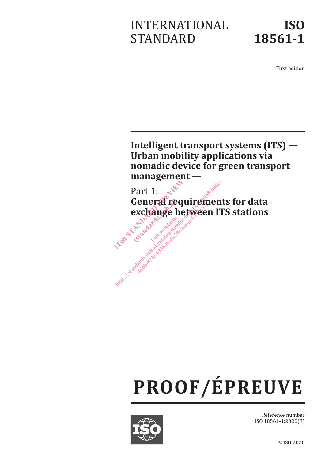## INTERNATIONAL STANDARD

First edition

**Intelligent transport systems (ITS) — Urban mobility applications via nomadic device for green transport management —**

Part 1: **General requirements for data exchange between ITS stations** Fart 1: General requires General reception Part 1: General requirement Refugee between

# **PROOF/ÉPREUVE**



Reference number ISO 18561-1:2020(E)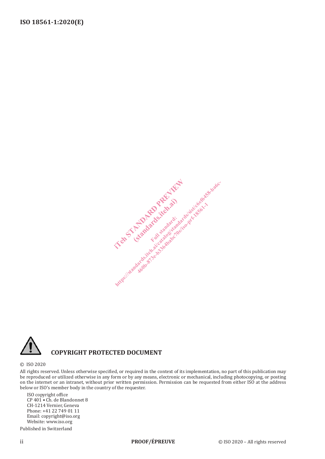



#### **COPYRIGHT PROTECTED DOCUMENT**

#### © ISO 2020

All rights reserved. Unless otherwise specified, or required in the context of its implementation, no part of this publication may be reproduced or utilized otherwise in any form or by any means, electronic or mechanical, including photocopying, or posting on the internet or an intranet, without prior written permission. Permission can be requested from either ISO at the address below or ISO's member body in the country of the requester.

ISO copyright office CP 401 • Ch. de Blandonnet 8 CH-1214 Vernier, Geneva Phone: +41 22 749 01 11 Email: copyright@iso.org Website: www.iso.org

Published in Switzerland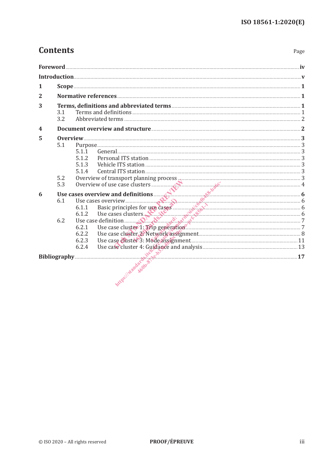Page

## **Contents**

| 1 |            |                                  |  |
|---|------------|----------------------------------|--|
| 2 |            |                                  |  |
| 3 | 3.1<br>3.2 |                                  |  |
| 4 |            | Document overview and structure  |  |
| 5 | 5.1<br>5.2 | 5.1.1<br>5.1.2<br>5.1.3<br>5.1.4 |  |
| 6 |            | 6.2.2<br>6.2.3<br>6.2.4          |  |
|   |            |                                  |  |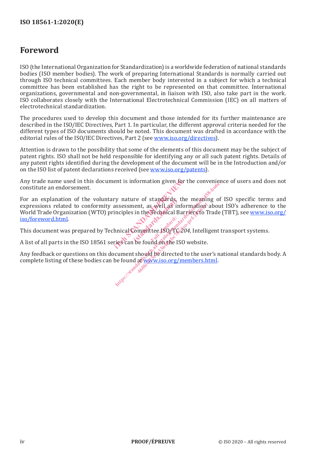## **Foreword**

ISO (the International Organization for Standardization) is a worldwide federation of national standards bodies (ISO member bodies). The work of preparing International Standards is normally carried out through ISO technical committees. Each member body interested in a subject for which a technical committee has been established has the right to be represented on that committee. International organizations, governmental and non-governmental, in liaison with ISO, also take part in the work. ISO collaborates closely with the International Electrotechnical Commission (IEC) on all matters of electrotechnical standardization.

The procedures used to develop this document and those intended for its further maintenance are described in the ISO/IEC Directives, Part 1. In particular, the different approval criteria needed for the different types of ISO documents should be noted. This document was drafted in accordance with the editorial rules of the ISO/IEC Directives, Part 2 (see www.iso.org/directives).

Attention is drawn to the possibility that some of the elements of this document may be the subject of patent rights. ISO shall not be held responsible for identifying any or all such patent rights. Details of any patent rights identified during the development of the document will be in the Introduction and/or on the ISO list of patent declarations received (see www.iso.org/patents).

Any trade name used in this document is information given for the convenience of users and does not constitute an endorsement.

For an explanation of the voluntary nature of standards, the meaning of ISO specific terms and expressions related to conformity assessment, as well as information about ISO's adherence to the World Trade Organization (WTO) principles in the Technical Barriers to Trade (TBT), see www.iso.org/<br>iso/foreword.html. iso/foreword.html. ent is information given for the<br>ry nature of standards, the m<br>assessment, as well as information<br>inciples in the Fechnical Barrier<br>hnical Committee JSO/TC-204, In<br>ries can be found on the ISO web re of standards, the<br>standard as in the Technical Base<br>in the Technical Base<br>Committee ISO/TCC<br>performance ISO/TCC Find is information given the technical convenient as well as information about<br>inciples in the Fechhical Barriers to Trade<br>inical Committee JSO TC-204, Intelligent<br>ries can be found on the ISO website.<br>cument should be d ent, as well as information<br>in the Fechnical Barriers to 1<br>immuttee 180/176204, Intelli<br>pe found on the ISO website.<br>should be directed to the use<br>at www.iso.org/members.h

This document was prepared by Technical Committee ISO/TC *204,* Intelligent transport systems*.*

A list of all parts in the ISO 18561 series can be found on the ISO website.

Any feedback or questions on this document should be directed to the user's national standards body. A complete listing of these bodies can be found at www.iso.org/members.html.<br> $\frac{1}{2}$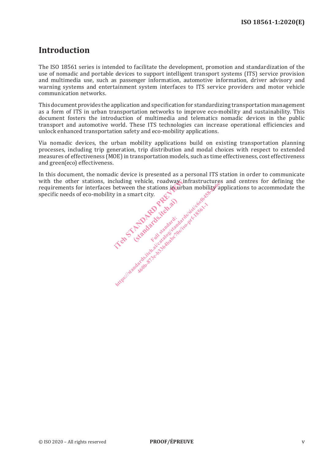## **Introduction**

The ISO 18561 series is intended to facilitate the development, promotion and standardization of the use of nomadic and portable devices to support intelligent transport systems (ITS) service provision and multimedia use, such as passenger information, automotive information, driver advisory and warning systems and entertainment system interfaces to ITS service providers and motor vehicle communication networks.

This document provides the application and specification for standardizing transportation management as a form of ITS in urban transportation networks to improve eco-mobility and sustainability. This document fosters the introduction of multimedia and telematics nomadic devices in the public transport and automotive world. These ITS technologies can increase operational efficiencies and unlock enhanced transportation safety and eco-mobility applications.

Via nomadic devices, the urban mobility applications build on existing transportation planning processes, including trip generation, trip distribution and modal choices with respect to extended measures of effectiveness (MOE) in transportation models, such as time effectiveness, cost effectiveness and green(eco) effectiveness.

In this document, the nomadic device is presented as a personal ITS station in order to communicate with the other stations, including vehicle, roadway infrastructures and centres for defining the requirements for interfaces between the stations in urban mobility applications to accommodate the specific needs of eco-mobility in a smart city.

cluding vehicle, roadway infrainded that the stations in urban r<br>between the stations in urban r<br>in a smart city.<br>The property of the stationard stationary of the stationary of the stationary of the stationary of the stati **Kandards.iteh.ai)**<br>Grandards.iteh.ai https://standards.iteh.ai/catalogistics.iteh.ai/catalogistics.iteh.ai/catalogistics.iteh.ai/catalogistics.iteh.ai/catalogistics.iteh.ai/catalogistics.iteh.ai/catalogistics.iteh.ai/catalogistics.iteh.ai/catalogistics.iteh.a Reformation of the state of the state of the state of the state of the state of the state of the state of the state of the state of the state of the state of the state of the state of the state of the state of the state of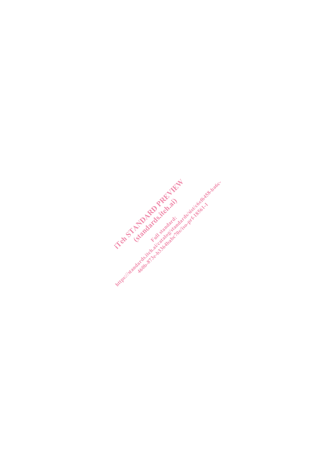Interest is an address to the test of the state of the design of the state of the state of the state of the state of the state of the state of the state of the state of the state of the state of the state of the state of t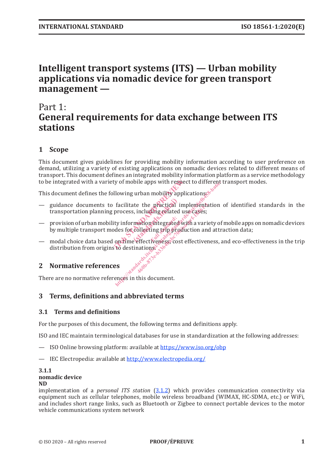## **Intelligent transport systems (ITS) — Urban mobility applications via nomadic device for green transport management —**

## Part 1: **General requirements for data exchange between ITS stations**

### **1 Scope**

This document gives guidelines for providing mobility information according to user preference on demand, utilizing a variety of existing applications on nomadic devices related to different means of transport. This document defines an integrated mobility information platform as a service methodology to be integrated with a variety of mobile apps with respect to different transport modes.

This document defines the following urban mobility applications.

- guidance documents to facilitate the practical implementation of identified standards in the transportation planning process, including related use cases;
- $-$  provision of urban mobility information integrated with a variety of mobile apps on nomadic devices by multiple transport modes for collecting trip production and attraction data; ty of mobile apps with respect to<br>llowing urban mobility applicati<br>facilitate the practical implem<br>process, including related use cal<br>ity information integrated with a<br>odes for collecting trip production<br>on time effectiven the the practical implements,<br>it is including related use cases;<br>mation integrated with a variabilities in a variability<br>collecting trip production and<br>effectiveness; cost effective<br>inations; rintegrated bowing urban mobility applications.<sup>83</sup><br>facilitate the practical implementation<br>process, including related use cases;<br>ty information integrated with a variety of<br>des for collecting trip production and att.<br>on time effectiv
- modal choice data based on time effectiveness, cost effectiveness, and eco-effectiveness in the trip distribution from origins to destinations.

#### **2 Normative references**

There are no normative references in this document.

#### **3 Terms, definitions and abbreviated terms**

#### **3.1 Terms and definitions**

For the purposes of this document, the following terms and definitions apply.

ISO and IEC maintain terminological databases for use in standardization at the following addresses:

- ISO Online browsing platform: available at https://www.iso.org/obp
- IEC Electropedia: available at http://www.electropedia.org/

#### **3.1.1 nomadic device**

#### **ND**

implementation of a *personal ITS station* (3.1.2) which provides communication connectivity via equipment such as cellular telephones, mobile wireless broadband (WIMAX, HC-SDMA, etc.) or WiFi, and includes short range links, such as Bluetooth or Zigbee to connect portable devices to the motor vehicle communications system network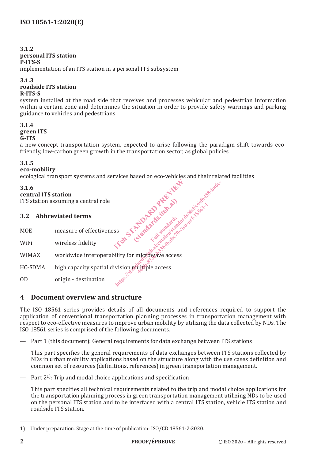#### **3.1.2 personal ITS station P-ITS-S**

implementation of an ITS station in a personal ITS subsystem

#### **3.1.3 roadside ITS station R-ITS-S**

system installed at the road side that receives and processes vehicular and pedestrian information within a certain zone and determines the situation in order to provide safety warnings and parking guidance to vehicles and pedestrians

**3.1.4 green ITS G-ITS**

a new-concept transportation system, expected to arise following the paradigm shift towards ecofriendly, low-carbon green growth in the transportation sector, as global policies

(standards.iteh.ai)

KdS. andardi

#### **3.1.5**

#### **eco-mobility**

ecological transport systems and services based on eco-vehicles and their related facilities is a started the started of the Milleton of the Milleton of the Milleton of the Milleton of the Milleton of the

#### **3.1.6**

#### **central ITS station**

ITS station assuming a central role

#### **3.2 Abbreviated terms**

WiFi wireless fidelity

WIMAX worldwide interoperability for microwave access with<sup>s://standards.item.com/standards.item.com/sist/c6ef6458-ba6c-<br>industrial developments.item.com/sist/c6ef6458-ba6c-<br>ility for microwave access<br>vision.multiple access</sup> Wardstrandstrandstrands

HC-SDMA high capacity spatial division multiple access

OD origin - destination

#### **4 Document overview and structure**

The ISO 18561 series provides details of all documents and references required to support the application of conventional transportation planning processes in transportation management with respect to eco-effective measures to improve urban mobility by utilizing the data collected by NDs. The ISO 18561 series is comprised of the following documents.

— Part 1 (this document): General requirements for data exchange between ITS stations

This part specifies the general requirements of data exchanges between ITS stations collected by NDs in urban mobility applications based on the structure along with the use cases definition and common set of resources (definitions, references) in green transportation management.

Part  $2^{1}$ : Trip and modal choice applications and specification

This part specifies all technical requirements related to the trip and modal choice applications for the transportation planning process in green transportation management utilizing NDs to be used on the personal ITS station and to be interfaced with a central ITS station, vehicle ITS station and roadside ITS station.

<sup>1)</sup> Under preparation. Stage at the time of publication: ISO/CD 18561-2:2020.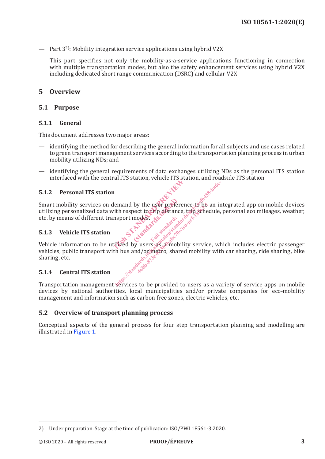$\mu$  Part 3<sup>2</sup>): Mobility integration service applications using hybrid V2X

This part specifies not only the mobility-as-a-service applications functioning in connection with multiple transportation modes, but also the safety enhancement services using hybrid V2X including dedicated short range communication (DSRC) and cellular V2X.

#### **5 Overview**

#### **5.1 Purpose**

#### **5.1.1 General**

This document addresses two major areas:

- identifying the method for describing the general information for all subjects and use cases related to green transport management services according to the transportation planning process in urban mobility utilizing NDs; and
- identifying the general requirements of data exchanges utilizing NDs as the personal ITS station interfaced with the central ITS station, vehicle ITS station, and roadside ITS station.

#### **5.1.2 Personal ITS station**

Smart mobility services on demand by the user preference to be an integrated app on mobile devices utilizing personalized data with respect to trip distance, trip schedule, personal eco mileages, weather, etc. by means of different transport modes.  $\delta^2$  ,  $\delta^3$  ,  $\delta^3$  ,  $\delta^4$  ,  $\delta^5$  ,  $\delta^6$  ,  $\delta^6$  ,  $\delta^7$  , etc. by means of different transport modes. Vehicle information to be utilized by users as a mobility service, which includes electric passenger vehicle information to be utilized by users as a mobility service, which includes electric passenger by the user prefer

#### **5.1.3 Vehicle ITS station**

vehicles, public transport with bus and/or metro, shared mobility with car sharing, ride sharing, bike sharing, etc. emand by the user preference to be an inth respect to thin distance, trip schedule,<br>isport modes.<br>isport modes.<br>itized by users as a mobility service, which has and/or metro, shared mobility with<br>services to be provided to y the user preference to be<br>cct to trip distance, trip sche<br>odes.<br>examples and species of the scheme of the scheme of the species of the<br>start of the species of the set of the species of the species of the species of the s

#### **5.1.4 Central ITS station**

Transportation management services to be provided to users as a variety of service apps on mobile devices by national authorities, local municipalities and/or private companies for eco-mobility management and information such as carbon free zones, electric vehicles, etc.

#### **5.2 Overview of transport planning process**

Conceptual aspects of the general process for four step transportation planning and modelling are illustrated in Figure 1.

<sup>2)</sup> Under preparation. Stage at the time of publication: ISO/PWI 18561-3:2020.